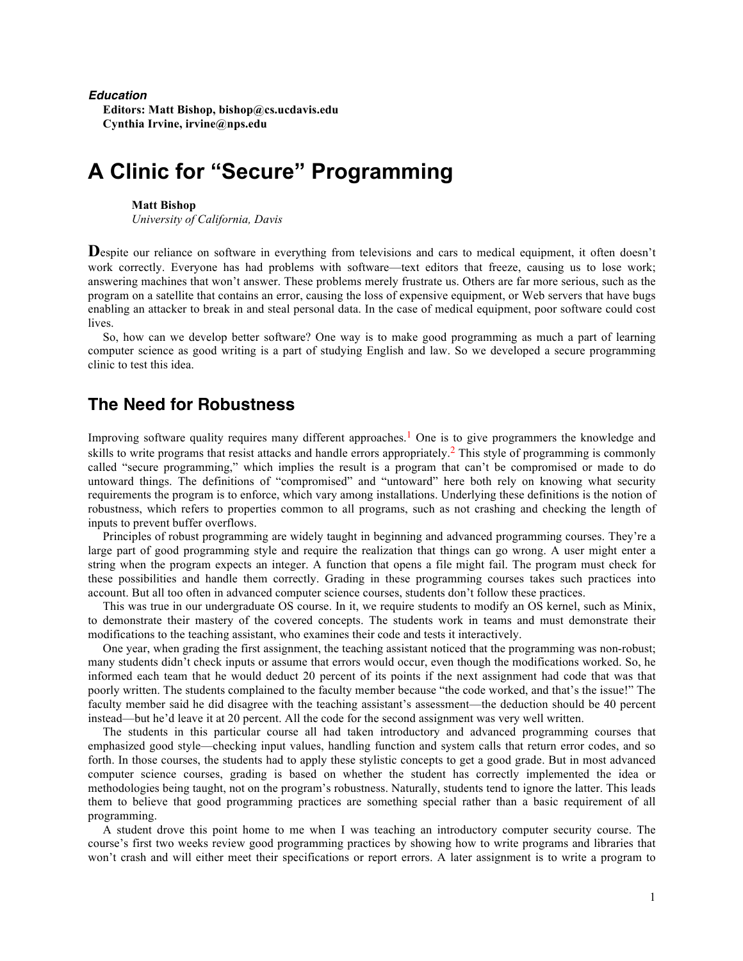#### *Education*

**Editors: Matt Bishop, bishop@cs.ucdavis.edu Cynthia Irvine, irvine@nps.edu**

# **A Clinic for "Secure" Programming**

#### **Matt Bishop**

*University of California, Davis*

**D**espite our reliance on software in everything from televisions and cars to medical equipment, it often doesn't work correctly. Everyone has had problems with software—text editors that freeze, causing us to lose work; answering machines that won't answer. These problems merely frustrate us. Others are far more serious, such as the program on a satellite that contains an error, causing the loss of expensive equipment, or Web servers that have bugs enabling an attacker to break in and steal personal data. In the case of medical equipment, poor software could cost lives.

So, how can we develop better software? One way is to make good programming as much a part of learning computer science as good writing is a part of studying English and law. So we developed a secure programming clinic to test this idea.

### **The Need for Robustness**

Improving software quality requires many different approaches.<sup>1</sup> One is to give programmers the knowledge and skills to write programs that resist attacks and handle errors appropriately.2 This style of programming is commonly called "secure programming," which implies the result is a program that can't be compromised or made to do untoward things. The definitions of "compromised" and "untoward" here both rely on knowing what security requirements the program is to enforce, which vary among installations. Underlying these definitions is the notion of robustness, which refers to properties common to all programs, such as not crashing and checking the length of inputs to prevent buffer overflows.

Principles of robust programming are widely taught in beginning and advanced programming courses. They're a large part of good programming style and require the realization that things can go wrong. A user might enter a string when the program expects an integer. A function that opens a file might fail. The program must check for these possibilities and handle them correctly. Grading in these programming courses takes such practices into account. But all too often in advanced computer science courses, students don't follow these practices.

This was true in our undergraduate OS course. In it, we require students to modify an OS kernel, such as Minix, to demonstrate their mastery of the covered concepts. The students work in teams and must demonstrate their modifications to the teaching assistant, who examines their code and tests it interactively.

One year, when grading the first assignment, the teaching assistant noticed that the programming was non-robust; many students didn't check inputs or assume that errors would occur, even though the modifications worked. So, he informed each team that he would deduct 20 percent of its points if the next assignment had code that was that poorly written. The students complained to the faculty member because "the code worked, and that's the issue!" The faculty member said he did disagree with the teaching assistant's assessment—the deduction should be 40 percent instead—but he'd leave it at 20 percent. All the code for the second assignment was very well written.

The students in this particular course all had taken introductory and advanced programming courses that emphasized good style—checking input values, handling function and system calls that return error codes, and so forth. In those courses, the students had to apply these stylistic concepts to get a good grade. But in most advanced computer science courses, grading is based on whether the student has correctly implemented the idea or methodologies being taught, not on the program's robustness. Naturally, students tend to ignore the latter. This leads them to believe that good programming practices are something special rather than a basic requirement of all programming.

A student drove this point home to me when I was teaching an introductory computer security course. The course's first two weeks review good programming practices by showing how to write programs and libraries that won't crash and will either meet their specifications or report errors. A later assignment is to write a program to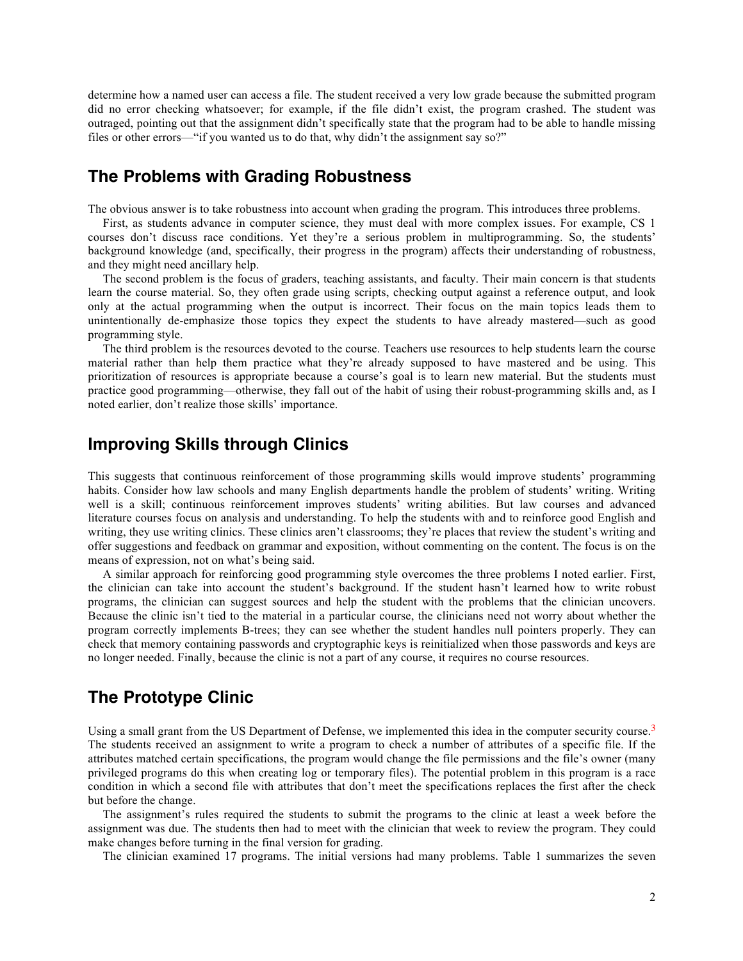determine how a named user can access a file. The student received a very low grade because the submitted program did no error checking whatsoever; for example, if the file didn't exist, the program crashed. The student was outraged, pointing out that the assignment didn't specifically state that the program had to be able to handle missing files or other errors—"if you wanted us to do that, why didn't the assignment say so?"

# **The Problems with Grading Robustness**

The obvious answer is to take robustness into account when grading the program. This introduces three problems.

First, as students advance in computer science, they must deal with more complex issues. For example, CS 1 courses don't discuss race conditions. Yet they're a serious problem in multiprogramming. So, the students' background knowledge (and, specifically, their progress in the program) affects their understanding of robustness, and they might need ancillary help.

The second problem is the focus of graders, teaching assistants, and faculty. Their main concern is that students learn the course material. So, they often grade using scripts, checking output against a reference output, and look only at the actual programming when the output is incorrect. Their focus on the main topics leads them to unintentionally de-emphasize those topics they expect the students to have already mastered—such as good programming style.

The third problem is the resources devoted to the course. Teachers use resources to help students learn the course material rather than help them practice what they're already supposed to have mastered and be using. This prioritization of resources is appropriate because a course's goal is to learn new material. But the students must practice good programming—otherwise, they fall out of the habit of using their robust-programming skills and, as I noted earlier, don't realize those skills' importance.

### **Improving Skills through Clinics**

This suggests that continuous reinforcement of those programming skills would improve students' programming habits. Consider how law schools and many English departments handle the problem of students' writing. Writing well is a skill; continuous reinforcement improves students' writing abilities. But law courses and advanced literature courses focus on analysis and understanding. To help the students with and to reinforce good English and writing, they use writing clinics. These clinics aren't classrooms; they're places that review the student's writing and offer suggestions and feedback on grammar and exposition, without commenting on the content. The focus is on the means of expression, not on what's being said.

A similar approach for reinforcing good programming style overcomes the three problems I noted earlier. First, the clinician can take into account the student's background. If the student hasn't learned how to write robust programs, the clinician can suggest sources and help the student with the problems that the clinician uncovers. Because the clinic isn't tied to the material in a particular course, the clinicians need not worry about whether the program correctly implements B-trees; they can see whether the student handles null pointers properly. They can check that memory containing passwords and cryptographic keys is reinitialized when those passwords and keys are no longer needed. Finally, because the clinic is not a part of any course, it requires no course resources.

# **The Prototype Clinic**

Using a small grant from the US Department of Defense, we implemented this idea in the computer security course.<sup>3</sup> The students received an assignment to write a program to check a number of attributes of a specific file. If the attributes matched certain specifications, the program would change the file permissions and the file's owner (many privileged programs do this when creating log or temporary files). The potential problem in this program is a race condition in which a second file with attributes that don't meet the specifications replaces the first after the check but before the change.

The assignment's rules required the students to submit the programs to the clinic at least a week before the assignment was due. The students then had to meet with the clinician that week to review the program. They could make changes before turning in the final version for grading.

The clinician examined 17 programs. The initial versions had many problems. Table 1 summarizes the seven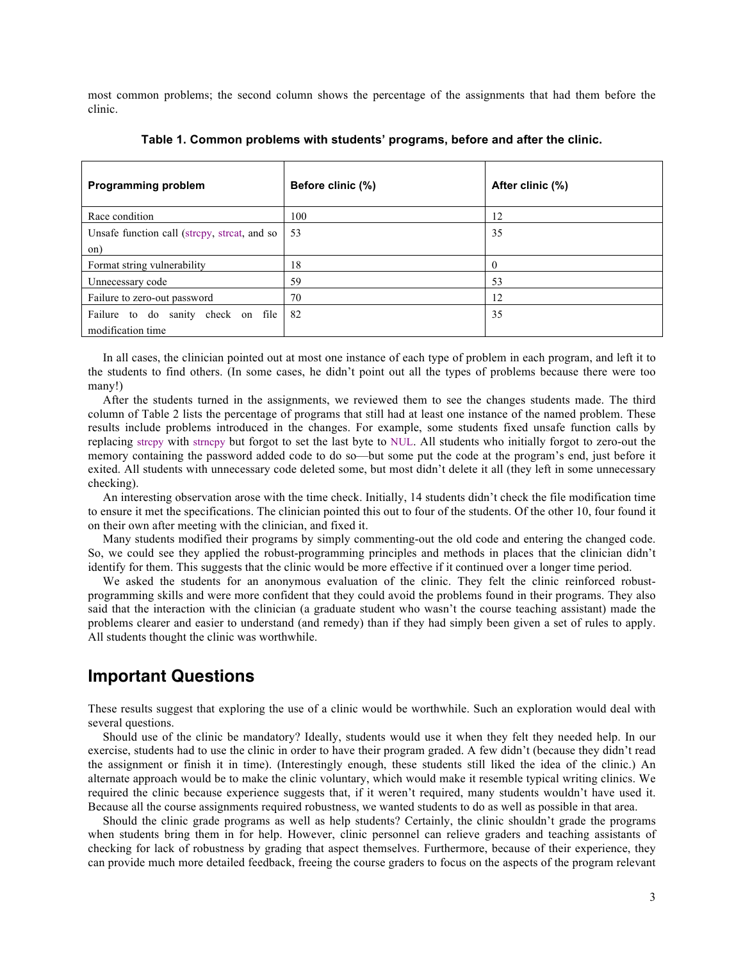most common problems; the second column shows the percentage of the assignments that had them before the clinic.

| <b>Programming problem</b>                              | Before clinic (%) | After clinic (%) |
|---------------------------------------------------------|-------------------|------------------|
| Race condition                                          | 100               | 12               |
| Unsafe function call (strepy, streat, and so<br>on)     | 53                | 35               |
| Format string vulnerability                             | 18                | $\theta$         |
| Unnecessary code                                        | 59                | 53               |
| Failure to zero-out password                            | 70                | 12               |
| Failure to do sanity check on file<br>modification time | 82                | 35               |

### **Table 1. Common problems with students' programs, before and after the clinic.**

In all cases, the clinician pointed out at most one instance of each type of problem in each program, and left it to the students to find others. (In some cases, he didn't point out all the types of problems because there were too many!)

After the students turned in the assignments, we reviewed them to see the changes students made. The third column of Table 2 lists the percentage of programs that still had at least one instance of the named problem. These results include problems introduced in the changes. For example, some students fixed unsafe function calls by replacing strcpy with strncpy but forgot to set the last byte to NUL. All students who initially forgot to zero-out the memory containing the password added code to do so—but some put the code at the program's end, just before it exited. All students with unnecessary code deleted some, but most didn't delete it all (they left in some unnecessary checking).

An interesting observation arose with the time check. Initially, 14 students didn't check the file modification time to ensure it met the specifications. The clinician pointed this out to four of the students. Of the other 10, four found it on their own after meeting with the clinician, and fixed it.

Many students modified their programs by simply commenting-out the old code and entering the changed code. So, we could see they applied the robust-programming principles and methods in places that the clinician didn't identify for them. This suggests that the clinic would be more effective if it continued over a longer time period.

We asked the students for an anonymous evaluation of the clinic. They felt the clinic reinforced robustprogramming skills and were more confident that they could avoid the problems found in their programs. They also said that the interaction with the clinician (a graduate student who wasn't the course teaching assistant) made the problems clearer and easier to understand (and remedy) than if they had simply been given a set of rules to apply. All students thought the clinic was worthwhile.

## **Important Questions**

These results suggest that exploring the use of a clinic would be worthwhile. Such an exploration would deal with several questions.

Should use of the clinic be mandatory? Ideally, students would use it when they felt they needed help. In our exercise, students had to use the clinic in order to have their program graded. A few didn't (because they didn't read the assignment or finish it in time). (Interestingly enough, these students still liked the idea of the clinic.) An alternate approach would be to make the clinic voluntary, which would make it resemble typical writing clinics. We required the clinic because experience suggests that, if it weren't required, many students wouldn't have used it. Because all the course assignments required robustness, we wanted students to do as well as possible in that area.

Should the clinic grade programs as well as help students? Certainly, the clinic shouldn't grade the programs when students bring them in for help. However, clinic personnel can relieve graders and teaching assistants of checking for lack of robustness by grading that aspect themselves. Furthermore, because of their experience, they can provide much more detailed feedback, freeing the course graders to focus on the aspects of the program relevant